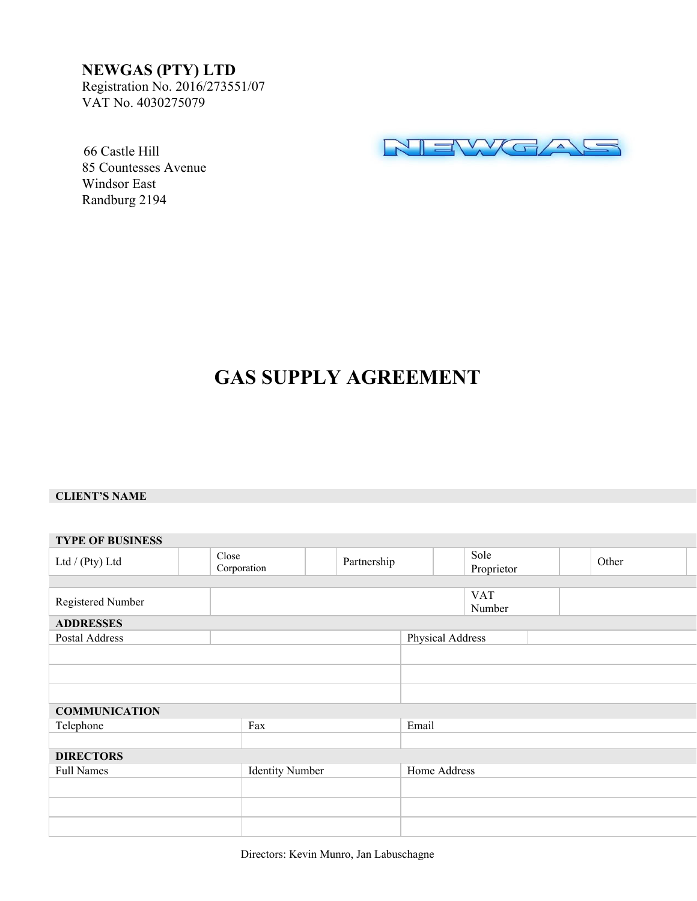## **NEWGAS (PTY) LTD**

Registration No. 2016/273551/07 VAT No. 4030275079



 66 Castle Hill 85 Countesses Avenue Windsor East Randburg 2194

# **GAS SUPPLY AGREEMENT**

#### **CLIENT'S NAME**

| <b>TYPE OF BUSINESS</b> |  |                        |  |                  |              |                    |                      |  |  |       |  |  |
|-------------------------|--|------------------------|--|------------------|--------------|--------------------|----------------------|--|--|-------|--|--|
| Ltd / (Pty) Ltd         |  | Close<br>Corporation   |  | Partnership      |              | Sole<br>Proprietor |                      |  |  | Other |  |  |
|                         |  |                        |  |                  |              |                    |                      |  |  |       |  |  |
| Registered Number       |  |                        |  |                  |              |                    | <b>VAT</b><br>Number |  |  |       |  |  |
| <b>ADDRESSES</b>        |  |                        |  |                  |              |                    |                      |  |  |       |  |  |
| Postal Address          |  |                        |  | Physical Address |              |                    |                      |  |  |       |  |  |
|                         |  |                        |  |                  |              |                    |                      |  |  |       |  |  |
|                         |  |                        |  |                  |              |                    |                      |  |  |       |  |  |
|                         |  |                        |  |                  |              |                    |                      |  |  |       |  |  |
| <b>COMMUNICATION</b>    |  |                        |  |                  |              |                    |                      |  |  |       |  |  |
| Telephone               |  | Fax                    |  |                  | Email        |                    |                      |  |  |       |  |  |
|                         |  |                        |  |                  |              |                    |                      |  |  |       |  |  |
| <b>DIRECTORS</b>        |  |                        |  |                  |              |                    |                      |  |  |       |  |  |
| <b>Full Names</b>       |  | <b>Identity Number</b> |  |                  | Home Address |                    |                      |  |  |       |  |  |
|                         |  |                        |  |                  |              |                    |                      |  |  |       |  |  |
|                         |  |                        |  |                  |              |                    |                      |  |  |       |  |  |
|                         |  |                        |  |                  |              |                    |                      |  |  |       |  |  |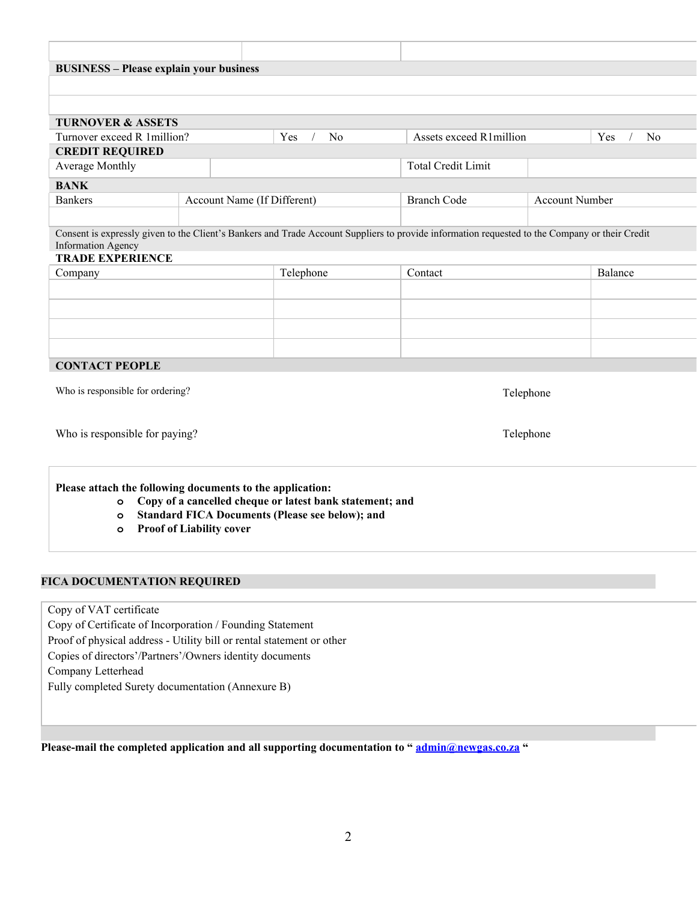| <b>BUSINESS - Please explain your business</b>            |                                 |                                                          |                                                                                                                                                |                       |           |  |  |  |
|-----------------------------------------------------------|---------------------------------|----------------------------------------------------------|------------------------------------------------------------------------------------------------------------------------------------------------|-----------------------|-----------|--|--|--|
|                                                           |                                 |                                                          |                                                                                                                                                |                       |           |  |  |  |
|                                                           |                                 |                                                          |                                                                                                                                                |                       |           |  |  |  |
| <b>TURNOVER &amp; ASSETS</b>                              |                                 |                                                          |                                                                                                                                                |                       |           |  |  |  |
| Turnover exceed R 1million?                               |                                 | Yes<br>N <sub>o</sub>                                    | Assets exceed R1million                                                                                                                        |                       | Yes<br>No |  |  |  |
| <b>CREDIT REQUIRED</b><br>Average Monthly                 |                                 |                                                          | <b>Total Credit Limit</b>                                                                                                                      |                       |           |  |  |  |
| <b>BANK</b>                                               |                                 |                                                          |                                                                                                                                                |                       |           |  |  |  |
| <b>Bankers</b>                                            |                                 | Account Name (If Different)                              | <b>Branch Code</b>                                                                                                                             | <b>Account Number</b> |           |  |  |  |
|                                                           |                                 |                                                          |                                                                                                                                                |                       |           |  |  |  |
|                                                           |                                 |                                                          | Consent is expressly given to the Client's Bankers and Trade Account Suppliers to provide information requested to the Company or their Credit |                       |           |  |  |  |
| <b>Information Agency</b><br><b>TRADE EXPERIENCE</b>      |                                 |                                                          |                                                                                                                                                |                       |           |  |  |  |
| Company                                                   |                                 | Telephone                                                | Contact                                                                                                                                        |                       | Balance   |  |  |  |
|                                                           |                                 |                                                          |                                                                                                                                                |                       |           |  |  |  |
|                                                           |                                 |                                                          |                                                                                                                                                |                       |           |  |  |  |
|                                                           |                                 |                                                          |                                                                                                                                                |                       |           |  |  |  |
|                                                           |                                 |                                                          |                                                                                                                                                |                       |           |  |  |  |
|                                                           |                                 |                                                          |                                                                                                                                                |                       |           |  |  |  |
| <b>CONTACT PEOPLE</b>                                     |                                 |                                                          |                                                                                                                                                |                       |           |  |  |  |
| Who is responsible for ordering?                          |                                 |                                                          | Telephone                                                                                                                                      |                       |           |  |  |  |
|                                                           |                                 |                                                          |                                                                                                                                                |                       |           |  |  |  |
|                                                           |                                 |                                                          |                                                                                                                                                |                       |           |  |  |  |
| Who is responsible for paying?                            |                                 |                                                          | Telephone                                                                                                                                      |                       |           |  |  |  |
| Please attach the following documents to the application: |                                 |                                                          |                                                                                                                                                |                       |           |  |  |  |
| $\circ$                                                   |                                 | Copy of a cancelled cheque or latest bank statement; and |                                                                                                                                                |                       |           |  |  |  |
| $\circ$                                                   |                                 | <b>Standard FICA Documents (Please see below); and</b>   |                                                                                                                                                |                       |           |  |  |  |
| $\circ$                                                   | <b>Proof of Liability cover</b> |                                                          |                                                                                                                                                |                       |           |  |  |  |
|                                                           |                                 |                                                          |                                                                                                                                                |                       |           |  |  |  |
|                                                           |                                 |                                                          |                                                                                                                                                |                       |           |  |  |  |
|                                                           |                                 |                                                          |                                                                                                                                                |                       |           |  |  |  |
| <b>FICA DOCUMENTATION REQUIRED</b>                        |                                 |                                                          |                                                                                                                                                |                       |           |  |  |  |

Copy of Certificate of Incorporation / Founding Statement

Proof of physical address - Utility bill or rental statement or other

Copies of directors'/Partners'/Owners identity documents

Company Letterhead

Fully completed Surety documentation (Annexure B)

**Please-mail the completed application and all supporting documentation to " [admin@newgas.co.za](mailto:admin@newgas.co.za) "**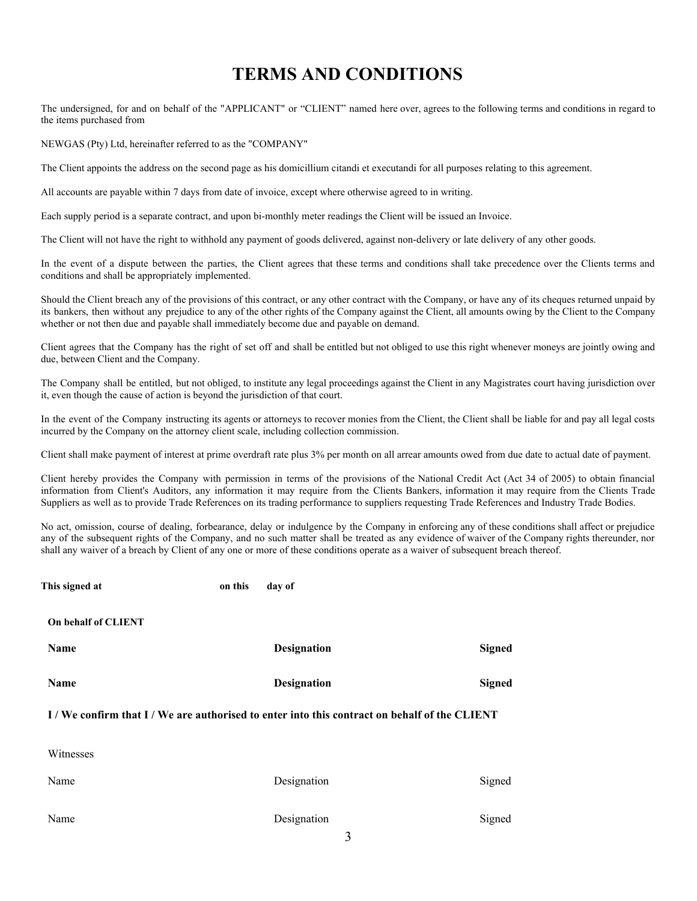## **TERMS AND CONDITIONS**

The undersigned, for and on behalf of the "APPLICANT" or "CLIENT" named here over, agrees to the following terms and conditions in regard to the items purchased from

NEWGAS (Pty) Ltd, hereinafter referred to as the "COMPANY"

The Client appoints the address on the second page as his domicillium citandi et executandi for all purposes relating to this agreement.

All accounts are payable within 7 days from date of invoice, except where otherwise agreed to in writing.

Each supply period is a separate contract, and upon bi-monthly meter readings the Client will be issued an Invoice.

The Client will not have the right to withhold any payment of goods delivered, against non-delivery or late delivery of any other goods.

In the event of a dispute between the parties, the Client agrees that these terms and conditions shall take precedence over the Clients terms and conditions and shall be appropriately implemented.

Should the Client breach any of the provisions of this contract, or any other contract with the Company, or have any of its cheques returned unpaid by its bankers, then without any prejudice to any of the other rights of the Company against the Client, all amounts owing by the Client to the Company whether or not then due and payable shall immediately become due and payable on demand.

Client agrees that the Company has the right of set off and shall be entitled but not obliged to use this right whenever moneys are jointly owing and due, between Client and the Company.

The Company shall be entitled, but not obliged, to institute any legal proceedings against the Client in any Magistrates court having jurisdiction over it, even though the cause of action is beyond the jurisdiction of that court.

In the event of the Company instructing its agents or attorneys to recover monies from the Client, the Client shall be liable for and pay all legal costs incurred by the Company on the attorney client scale, including collection commission.

Client shall make payment of interest at prime overdraft rate plus 3% per month on all arrear amounts owed from due date to actual date of payment.

Client hereby provides the Company with permission in terms of the provisions of the National Credit Act (Act 34 of 2005) to obtain financial information from Client's Auditors, any information it may require from the Clients Bankers, information it may require from the Clients Trade Suppliers as well as to provide Trade References on its trading performance to suppliers requesting Trade References and Industry Trade Bodies.

No act, omission, course of dealing, forbearance, delay or indulgence by the Company in enforcing any of these conditions shall affect or prejudice any of the subsequent rights of the Company, and no such matter shall be treated as any evidence of waiver of the Company rights thereunder, nor shall any waiver of a breach by Client of any one or more of these conditions operate as a waiver of subsequent breach thereof.

| This signed at                                                                            | on this | day of             |               |  |  |
|-------------------------------------------------------------------------------------------|---------|--------------------|---------------|--|--|
| On behalf of CLIENT                                                                       |         |                    |               |  |  |
| Name                                                                                      |         | <b>Designation</b> | <b>Signed</b> |  |  |
| Name                                                                                      |         | <b>Designation</b> | <b>Signed</b> |  |  |
| I/We confirm that I/We are authorised to enter into this contract on behalf of the CLIENT |         |                    |               |  |  |
| Witnesses                                                                                 |         |                    |               |  |  |
| Name                                                                                      |         | Designation        | Signed        |  |  |
| Name                                                                                      |         | Designation        | Signed        |  |  |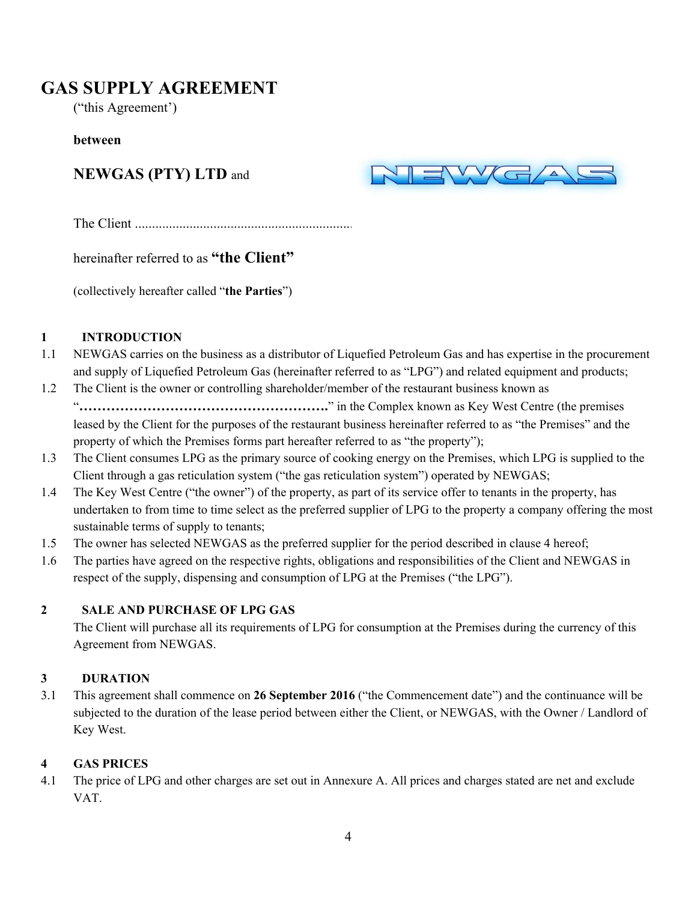# **GAS SUPPLY AGREEMENT**

("this Agreement')

#### **between**

# **NEWGAS (PTY) LTD** and



The Client ............................................................................................

hereinafter referred to as **"the Client"**

(collectively hereafter called "**the Parties**")

#### **1 INTRODUCTION**

- 1.1 NEWGAS carries on the business as a distributor of Liquefied Petroleum Gas and has expertise in the procurement and supply of Liquefied Petroleum Gas (hereinafter referred to as "LPG") and related equipment and products;
- 1.2 The Client is the owner or controlling shareholder/member of the restaurant business known as "**……………………………………………….**" in the Complex known as Key West Centre (the premises leased by the Client for the purposes of the restaurant business hereinafter referred to as "the Premises" and the property of which the Premises forms part hereafter referred to as "the property");
- 1.3 The Client consumes LPG as the primary source of cooking energy on the Premises, which LPG is supplied to the Client through a gas reticulation system ("the gas reticulation system") operated by NEWGAS;
- 1.4 The Key West Centre ("the owner") of the property, as part of its service offer to tenants in the property, has undertaken to from time to time select as the preferred supplier of LPG to the property a company offering the most sustainable terms of supply to tenants;
- 1.5 The owner has selected NEWGAS as the preferred supplier for the period described in clause 4 hereof;
- 1.6 The parties have agreed on the respective rights, obligations and responsibilities of the Client and NEWGAS in respect of the supply, dispensing and consumption of LPG at the Premises ("the LPG").

### **2 SALE AND PURCHASE OF LPG GAS**

The Client will purchase all its requirements of LPG for consumption at the Premises during the currency of this Agreement from NEWGAS.

### **3 DURATION**

3.1 This agreement shall commence on **26 September 2016** ("the Commencement date") and the continuance will be subjected to the duration of the lease period between either the Client, or NEWGAS, with the Owner / Landlord of Key West.

### **4 GAS PRICES**

4.1 The price of LPG and other charges are set out in Annexure A. All prices and charges stated are net and exclude VAT.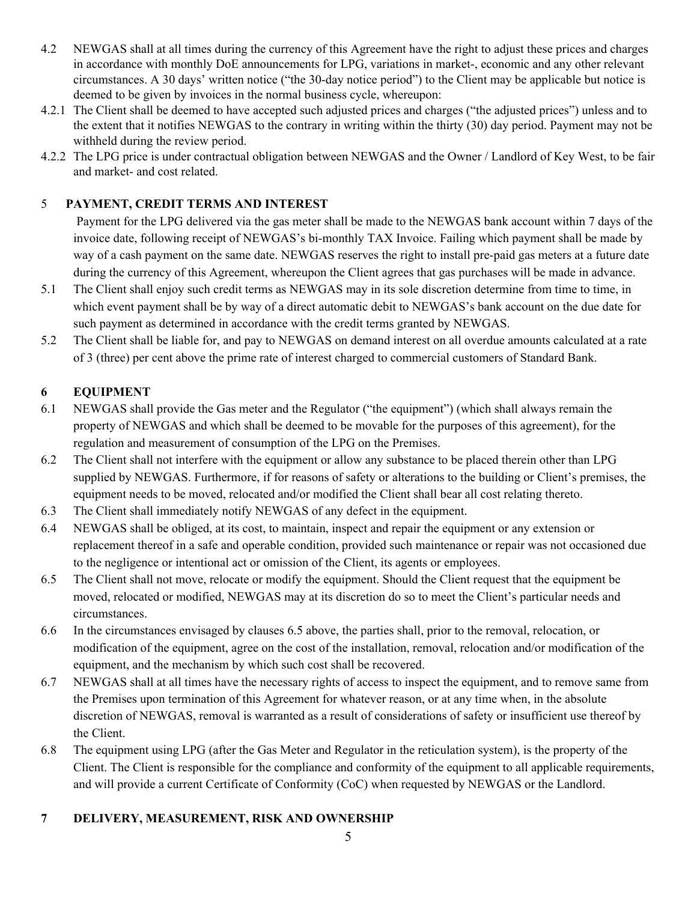- 4.2 NEWGAS shall at all times during the currency of this Agreement have the right to adjust these prices and charges in accordance with monthly DoE announcements for LPG, variations in market-, economic and any other relevant circumstances. A 30 days' written notice ("the 30-day notice period") to the Client may be applicable but notice is deemed to be given by invoices in the normal business cycle, whereupon:
- 4.2.1 The Client shall be deemed to have accepted such adjusted prices and charges ("the adjusted prices") unless and to the extent that it notifies NEWGAS to the contrary in writing within the thirty (30) day period. Payment may not be withheld during the review period.
- 4.2.2 The LPG price is under contractual obligation between NEWGAS and the Owner / Landlord of Key West, to be fair and market- and cost related.

## 5 **PAYMENT, CREDIT TERMS AND INTEREST**

Payment for the LPG delivered via the gas meter shall be made to the NEWGAS bank account within 7 days of the invoice date, following receipt of NEWGAS's bi-monthly TAX Invoice. Failing which payment shall be made by way of a cash payment on the same date. NEWGAS reserves the right to install pre-paid gas meters at a future date during the currency of this Agreement, whereupon the Client agrees that gas purchases will be made in advance.

- 5.1 The Client shall enjoy such credit terms as NEWGAS may in its sole discretion determine from time to time, in which event payment shall be by way of a direct automatic debit to NEWGAS's bank account on the due date for such payment as determined in accordance with the credit terms granted by NEWGAS.
- 5.2 The Client shall be liable for, and pay to NEWGAS on demand interest on all overdue amounts calculated at a rate of 3 (three) per cent above the prime rate of interest charged to commercial customers of Standard Bank.

### **6 EQUIPMENT**

- 6.1 NEWGAS shall provide the Gas meter and the Regulator ("the equipment") (which shall always remain the property of NEWGAS and which shall be deemed to be movable for the purposes of this agreement), for the regulation and measurement of consumption of the LPG on the Premises.
- 6.2 The Client shall not interfere with the equipment or allow any substance to be placed therein other than LPG supplied by NEWGAS. Furthermore, if for reasons of safety or alterations to the building or Client's premises, the equipment needs to be moved, relocated and/or modified the Client shall bear all cost relating thereto.
- 6.3 The Client shall immediately notify NEWGAS of any defect in the equipment.
- 6.4 NEWGAS shall be obliged, at its cost, to maintain, inspect and repair the equipment or any extension or replacement thereof in a safe and operable condition, provided such maintenance or repair was not occasioned due to the negligence or intentional act or omission of the Client, its agents or employees.
- 6.5 The Client shall not move, relocate or modify the equipment. Should the Client request that the equipment be moved, relocated or modified, NEWGAS may at its discretion do so to meet the Client's particular needs and circumstances.
- 6.6 In the circumstances envisaged by clauses 6.5 above, the parties shall, prior to the removal, relocation, or modification of the equipment, agree on the cost of the installation, removal, relocation and/or modification of the equipment, and the mechanism by which such cost shall be recovered.
- 6.7 NEWGAS shall at all times have the necessary rights of access to inspect the equipment, and to remove same from the Premises upon termination of this Agreement for whatever reason, or at any time when, in the absolute discretion of NEWGAS, removal is warranted as a result of considerations of safety or insufficient use thereof by the Client.
- 6.8 The equipment using LPG (after the Gas Meter and Regulator in the reticulation system), is the property of the Client. The Client is responsible for the compliance and conformity of the equipment to all applicable requirements, and will provide a current Certificate of Conformity (CoC) when requested by NEWGAS or the Landlord.

### **7 DELIVERY, MEASUREMENT, RISK AND OWNERSHIP**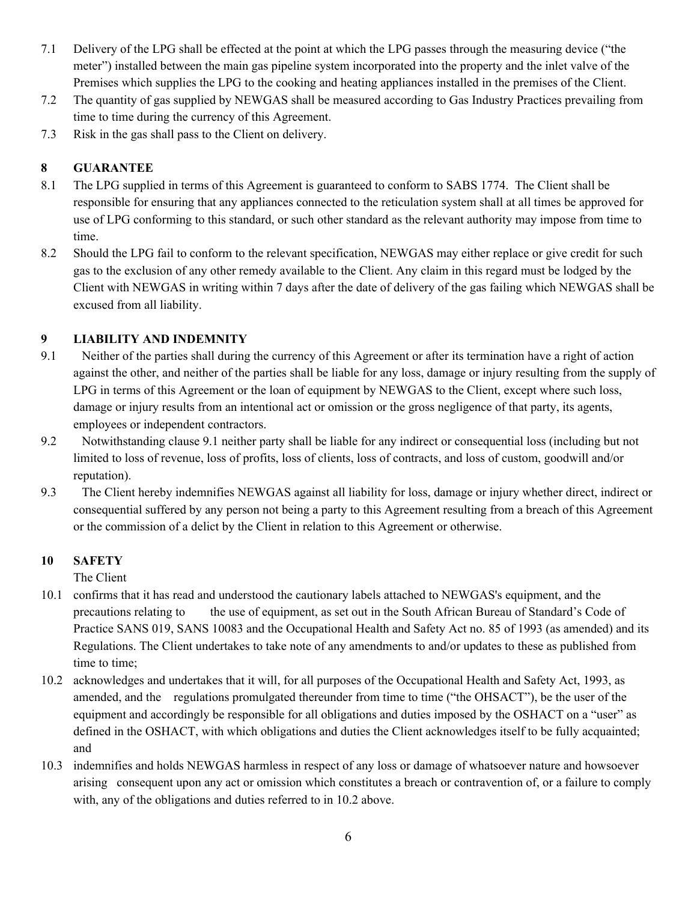- 7.1 Delivery of the LPG shall be effected at the point at which the LPG passes through the measuring device ("the meter") installed between the main gas pipeline system incorporated into the property and the inlet valve of the Premises which supplies the LPG to the cooking and heating appliances installed in the premises of the Client.
- 7.2 The quantity of gas supplied by NEWGAS shall be measured according to Gas Industry Practices prevailing from time to time during the currency of this Agreement.
- 7.3 Risk in the gas shall pass to the Client on delivery.

## **8 GUARANTEE**

- 8.1 The LPG supplied in terms of this Agreement is guaranteed to conform to SABS 1774. The Client shall be responsible for ensuring that any appliances connected to the reticulation system shall at all times be approved for use of LPG conforming to this standard, or such other standard as the relevant authority may impose from time to time.
- 8.2 Should the LPG fail to conform to the relevant specification, NEWGAS may either replace or give credit for such gas to the exclusion of any other remedy available to the Client. Any claim in this regard must be lodged by the Client with NEWGAS in writing within 7 days after the date of delivery of the gas failing which NEWGAS shall be excused from all liability.

## **9 LIABILITY AND INDEMNITY**

- 9.1 Neither of the parties shall during the currency of this Agreement or after its termination have a right of action against the other, and neither of the parties shall be liable for any loss, damage or injury resulting from the supply of LPG in terms of this Agreement or the loan of equipment by NEWGAS to the Client, except where such loss, damage or injury results from an intentional act or omission or the gross negligence of that party, its agents, employees or independent contractors.
- 9.2 Notwithstanding clause 9.1 neither party shall be liable for any indirect or consequential loss (including but not limited to loss of revenue, loss of profits, loss of clients, loss of contracts, and loss of custom, goodwill and/or reputation).
- 9.3 The Client hereby indemnifies NEWGAS against all liability for loss, damage or injury whether direct, indirect or consequential suffered by any person not being a party to this Agreement resulting from a breach of this Agreement or the commission of a delict by the Client in relation to this Agreement or otherwise.

### **10 SAFETY**

The Client

- 10.1 confirms that it has read and understood the cautionary labels attached to NEWGAS's equipment, and the precautions relating to the use of equipment, as set out in the South African Bureau of Standard's Code of Practice SANS 019, SANS 10083 and the Occupational Health and Safety Act no. 85 of 1993 (as amended) and its Regulations. The Client undertakes to take note of any amendments to and/or updates to these as published from time to time;
- 10.2 acknowledges and undertakes that it will, for all purposes of the Occupational Health and Safety Act, 1993, as amended, and the regulations promulgated thereunder from time to time ("the OHSACT"), be the user of the equipment and accordingly be responsible for all obligations and duties imposed by the OSHACT on a "user" as defined in the OSHACT, with which obligations and duties the Client acknowledges itself to be fully acquainted; and
- 10.3 indemnifies and holds NEWGAS harmless in respect of any loss or damage of whatsoever nature and howsoever arising consequent upon any act or omission which constitutes a breach or contravention of, or a failure to comply with, any of the obligations and duties referred to in 10.2 above.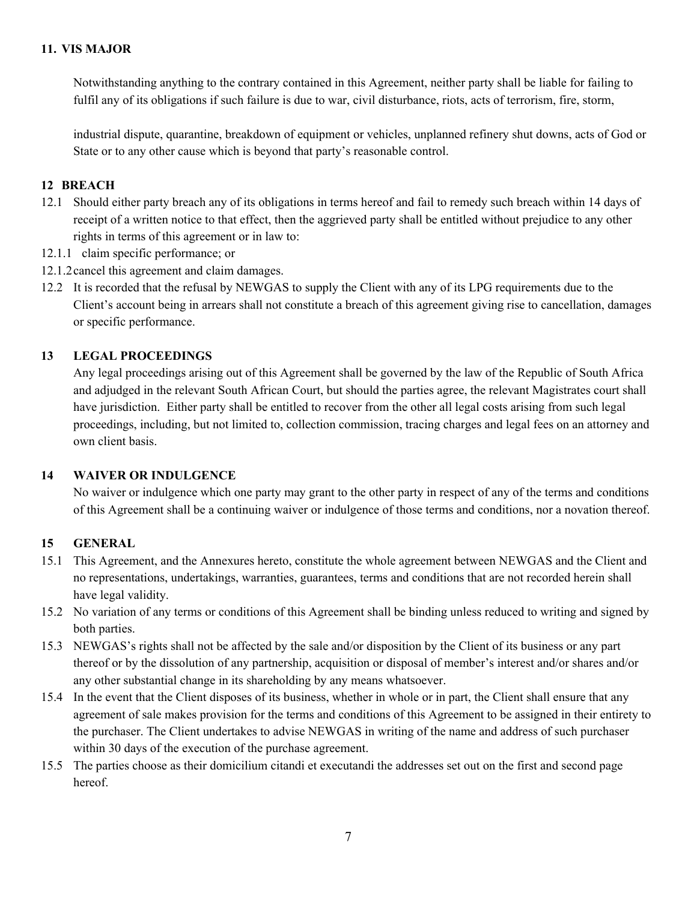Notwithstanding anything to the contrary contained in this Agreement, neither party shall be liable for failing to fulfil any of its obligations if such failure is due to war, civil disturbance, riots, acts of terrorism, fire, storm,

industrial dispute, quarantine, breakdown of equipment or vehicles, unplanned refinery shut downs, acts of God or State or to any other cause which is beyond that party's reasonable control.

#### **12 BREACH**

- 12.1 Should either party breach any of its obligations in terms hereof and fail to remedy such breach within 14 days of receipt of a written notice to that effect, then the aggrieved party shall be entitled without prejudice to any other rights in terms of this agreement or in law to:
- 12.1.1 claim specific performance; or
- 12.1.2cancel this agreement and claim damages.
- 12.2 It is recorded that the refusal by NEWGAS to supply the Client with any of its LPG requirements due to the Client's account being in arrears shall not constitute a breach of this agreement giving rise to cancellation, damages or specific performance.

#### **13 LEGAL PROCEEDINGS**

Any legal proceedings arising out of this Agreement shall be governed by the law of the Republic of South Africa and adjudged in the relevant South African Court, but should the parties agree, the relevant Magistrates court shall have jurisdiction. Either party shall be entitled to recover from the other all legal costs arising from such legal proceedings, including, but not limited to, collection commission, tracing charges and legal fees on an attorney and own client basis.

#### **14 WAIVER OR INDULGENCE**

No waiver or indulgence which one party may grant to the other party in respect of any of the terms and conditions of this Agreement shall be a continuing waiver or indulgence of those terms and conditions, nor a novation thereof.

#### **15 GENERAL**

- 15.1 This Agreement, and the Annexures hereto, constitute the whole agreement between NEWGAS and the Client and no representations, undertakings, warranties, guarantees, terms and conditions that are not recorded herein shall have legal validity.
- 15.2 No variation of any terms or conditions of this Agreement shall be binding unless reduced to writing and signed by both parties.
- 15.3 NEWGAS's rights shall not be affected by the sale and/or disposition by the Client of its business or any part thereof or by the dissolution of any partnership, acquisition or disposal of member's interest and/or shares and/or any other substantial change in its shareholding by any means whatsoever.
- 15.4 In the event that the Client disposes of its business, whether in whole or in part, the Client shall ensure that any agreement of sale makes provision for the terms and conditions of this Agreement to be assigned in their entirety to the purchaser. The Client undertakes to advise NEWGAS in writing of the name and address of such purchaser within 30 days of the execution of the purchase agreement.
- 15.5 The parties choose as their domicilium citandi et executandi the addresses set out on the first and second page hereof.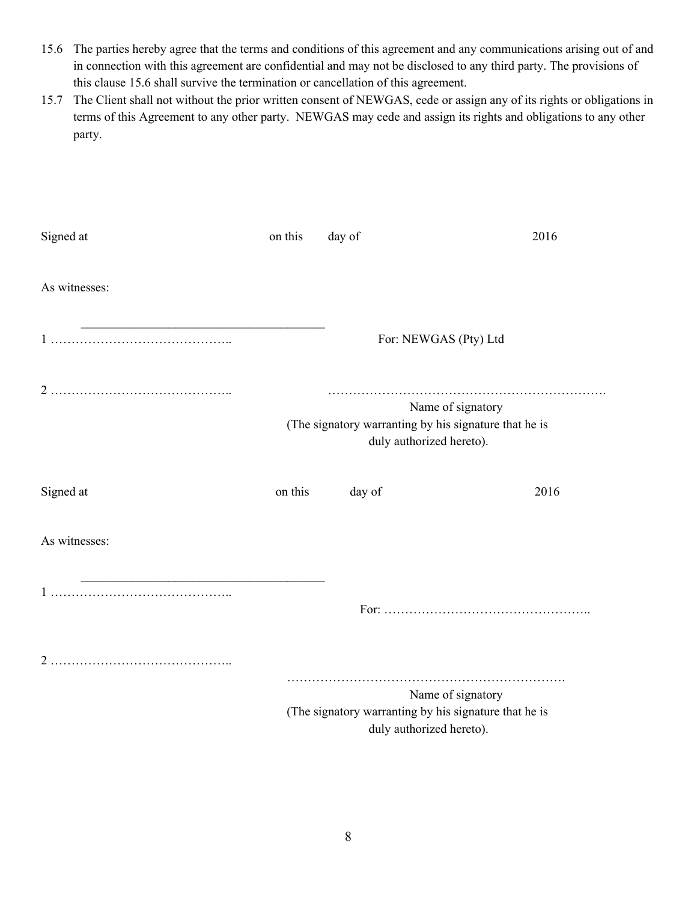- 15.6 The parties hereby agree that the terms and conditions of this agreement and any communications arising out of and in connection with this agreement are confidential and may not be disclosed to any third party. The provisions of this clause 15.6 shall survive the termination or cancellation of this agreement.
- 15.7 The Client shall not without the prior written consent of NEWGAS, cede or assign any of its rights or obligations in terms of this Agreement to any other party. NEWGAS may cede and assign its rights and obligations to any other party.

| Signed at                                                  | on this | day of                                                                                                 | 2016 |
|------------------------------------------------------------|---------|--------------------------------------------------------------------------------------------------------|------|
| As witnesses:                                              |         |                                                                                                        |      |
| <u> 1989 - Johann Barbara, martxa alemaniar amerikan a</u> |         | For: NEWGAS (Pty) Ltd                                                                                  |      |
|                                                            |         | Name of signatory<br>(The signatory warranting by his signature that he is<br>duly authorized hereto). |      |
| Signed at                                                  | on this | day of                                                                                                 | 2016 |
| As witnesses:                                              |         |                                                                                                        |      |
| <u> 1989 - Johann Barbara, martxa alemaniar amerikan a</u> |         |                                                                                                        |      |
|                                                            |         |                                                                                                        |      |
|                                                            |         | Name of signatory<br>(The signatory warranting by his signature that he is<br>duly authorized hereto). |      |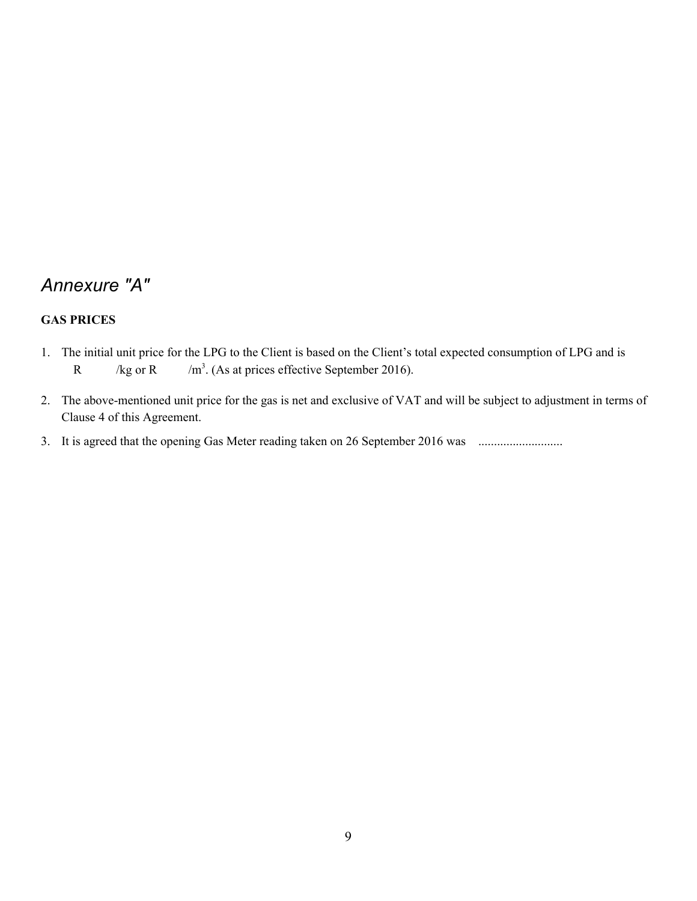# *Annexure "A"*

## **GAS PRICES**

- 1. The initial unit price for the LPG to the Client is based on the Client's total expected consumption of LPG and is R /kg or R  $3.$  (As at prices effective September 2016).
- 2. The above-mentioned unit price for the gas is net and exclusive of VAT and will be subject to adjustment in terms of Clause 4 of this Agreement.
- 3. It is agreed that the opening Gas Meter reading taken on 26 September 2016 was ............................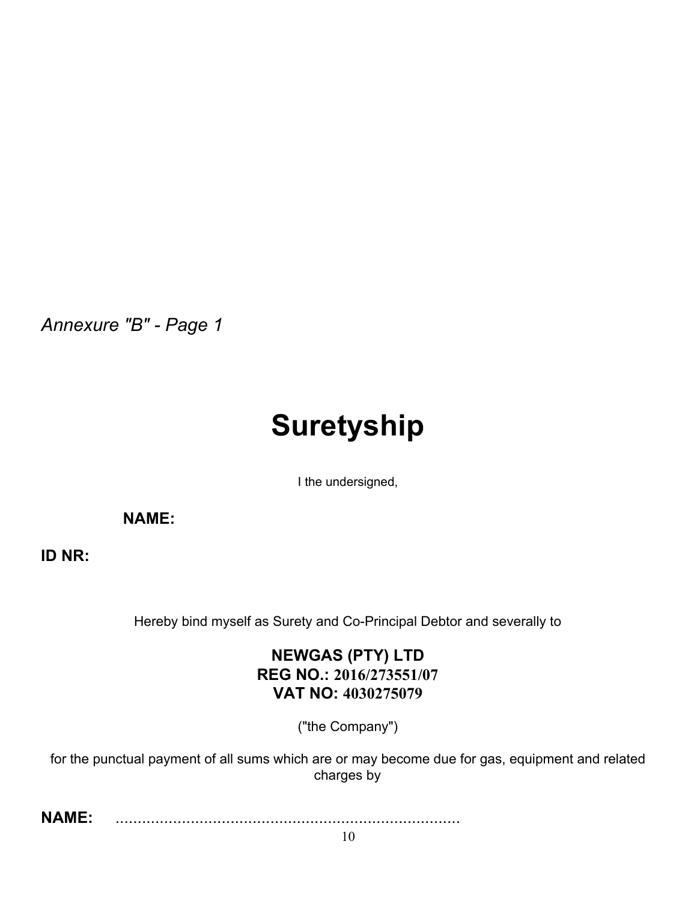*Annexure "B" - Page 1*

# **Suretyship**

I the undersigned,

**NAME:**

**ID NR:**

Hereby bind myself as Surety and Co-Principal Debtor and severally to

## **NEWGAS (PTY) LTD REG NO.: 2016/273551/07 VAT NO: 4030275079**

("the Company")

for the punctual payment of all sums which are or may become due for gas, equipment and related charges by

**NAME:** ..............................................................................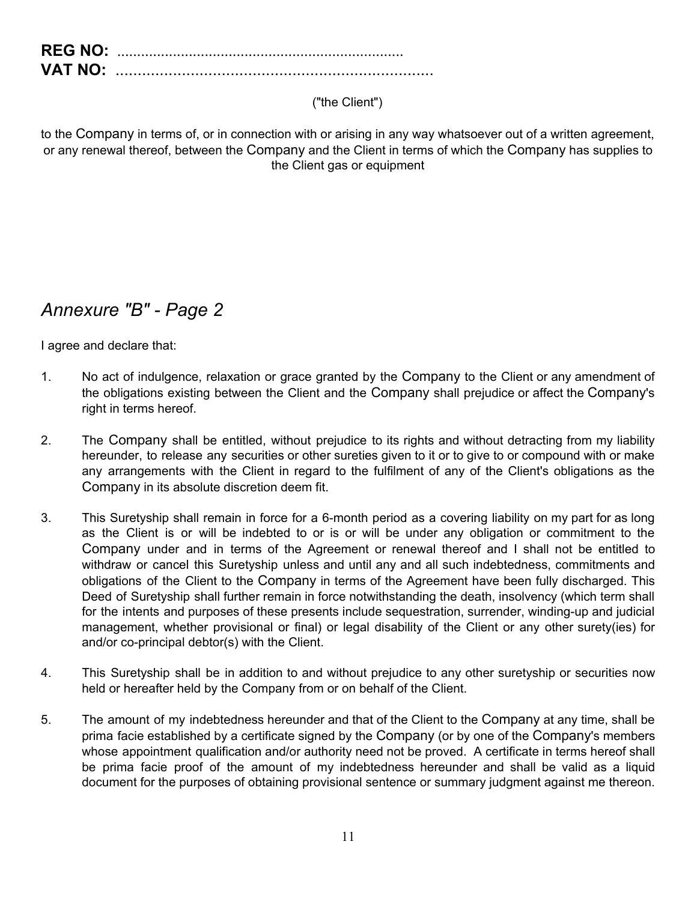| <b>REG NO:</b> |  |
|----------------|--|
| <b>VAT NO:</b> |  |

## ("the Client")

to the Company in terms of, or in connection with or arising in any way whatsoever out of a written agreement, or any renewal thereof, between the Company and the Client in terms of which the Company has supplies to the Client gas or equipment

# *Annexure "B" - Page 2*

I agree and declare that:

- 1. No act of indulgence, relaxation or grace granted by the Company to the Client or any amendment of the obligations existing between the Client and the Company shall prejudice or affect the Company's right in terms hereof.
- 2. The Company shall be entitled, without prejudice to its rights and without detracting from my liability hereunder, to release any securities or other sureties given to it or to give to or compound with or make any arrangements with the Client in regard to the fulfilment of any of the Client's obligations as the Company in its absolute discretion deem fit.
- 3. This Suretyship shall remain in force for a 6-month period as a covering liability on my part for as long as the Client is or will be indebted to or is or will be under any obligation or commitment to the Company under and in terms of the Agreement or renewal thereof and I shall not be entitled to withdraw or cancel this Suretyship unless and until any and all such indebtedness, commitments and obligations of the Client to the Company in terms of the Agreement have been fully discharged. This Deed of Suretyship shall further remain in force notwithstanding the death, insolvency (which term shall for the intents and purposes of these presents include sequestration, surrender, winding-up and judicial management, whether provisional or final) or legal disability of the Client or any other surety(ies) for and/or co-principal debtor(s) with the Client.
- 4. This Suretyship shall be in addition to and without prejudice to any other suretyship or securities now held or hereafter held by the Company from or on behalf of the Client.
- 5. The amount of my indebtedness hereunder and that of the Client to the Company at any time, shall be prima facie established by a certificate signed by the Company (or by one of the Company's members whose appointment qualification and/or authority need not be proved. A certificate in terms hereof shall be prima facie proof of the amount of my indebtedness hereunder and shall be valid as a liquid document for the purposes of obtaining provisional sentence or summary judgment against me thereon.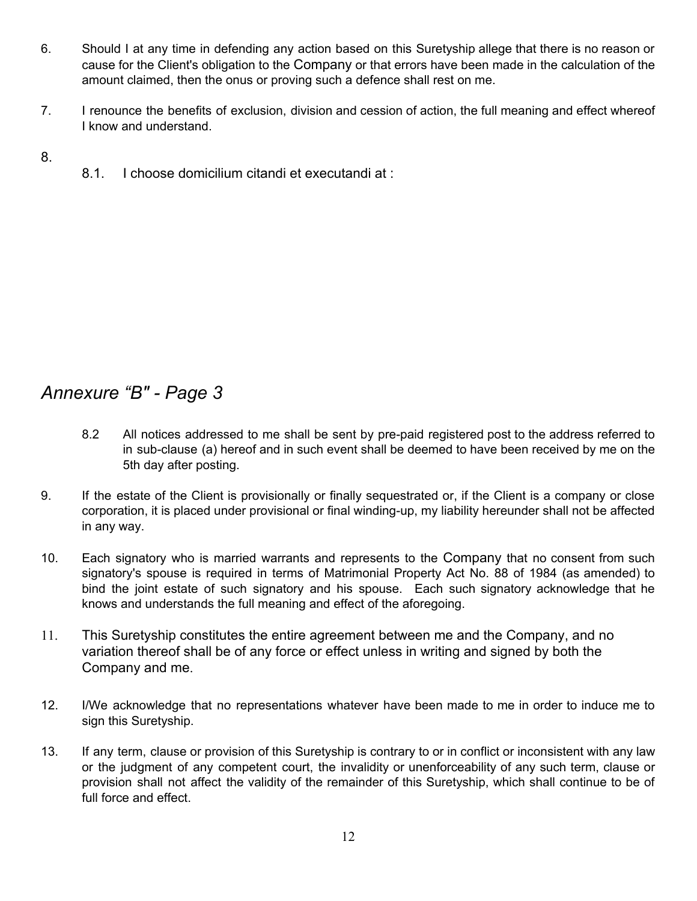- 6. Should I at any time in defending any action based on this Suretyship allege that there is no reason or cause for the Client's obligation to the Company or that errors have been made in the calculation of the amount claimed, then the onus or proving such a defence shall rest on me.
- 7. I renounce the benefits of exclusion, division and cession of action, the full meaning and effect whereof I know and understand.
- 8.
- 8.1. I choose domicilium citandi et executandi at :

# *Annexure "B" - Page 3*

- 8.2 All notices addressed to me shall be sent by pre-paid registered post to the address referred to in sub-clause (a) hereof and in such event shall be deemed to have been received by me on the 5th day after posting.
- 9. If the estate of the Client is provisionally or finally sequestrated or, if the Client is a company or close corporation, it is placed under provisional or final winding-up, my liability hereunder shall not be affected in any way.
- 10. Each signatory who is married warrants and represents to the Company that no consent from such signatory's spouse is required in terms of Matrimonial Property Act No. 88 of 1984 (as amended) to bind the joint estate of such signatory and his spouse. Each such signatory acknowledge that he knows and understands the full meaning and effect of the aforegoing.
- 11. This Suretyship constitutes the entire agreement between me and the Company, and no variation thereof shall be of any force or effect unless in writing and signed by both the Company and me.
- 12. I/We acknowledge that no representations whatever have been made to me in order to induce me to sign this Suretyship.
- 13. If any term, clause or provision of this Suretyship is contrary to or in conflict or inconsistent with any law or the judgment of any competent court, the invalidity or unenforceability of any such term, clause or provision shall not affect the validity of the remainder of this Suretyship, which shall continue to be of full force and effect.